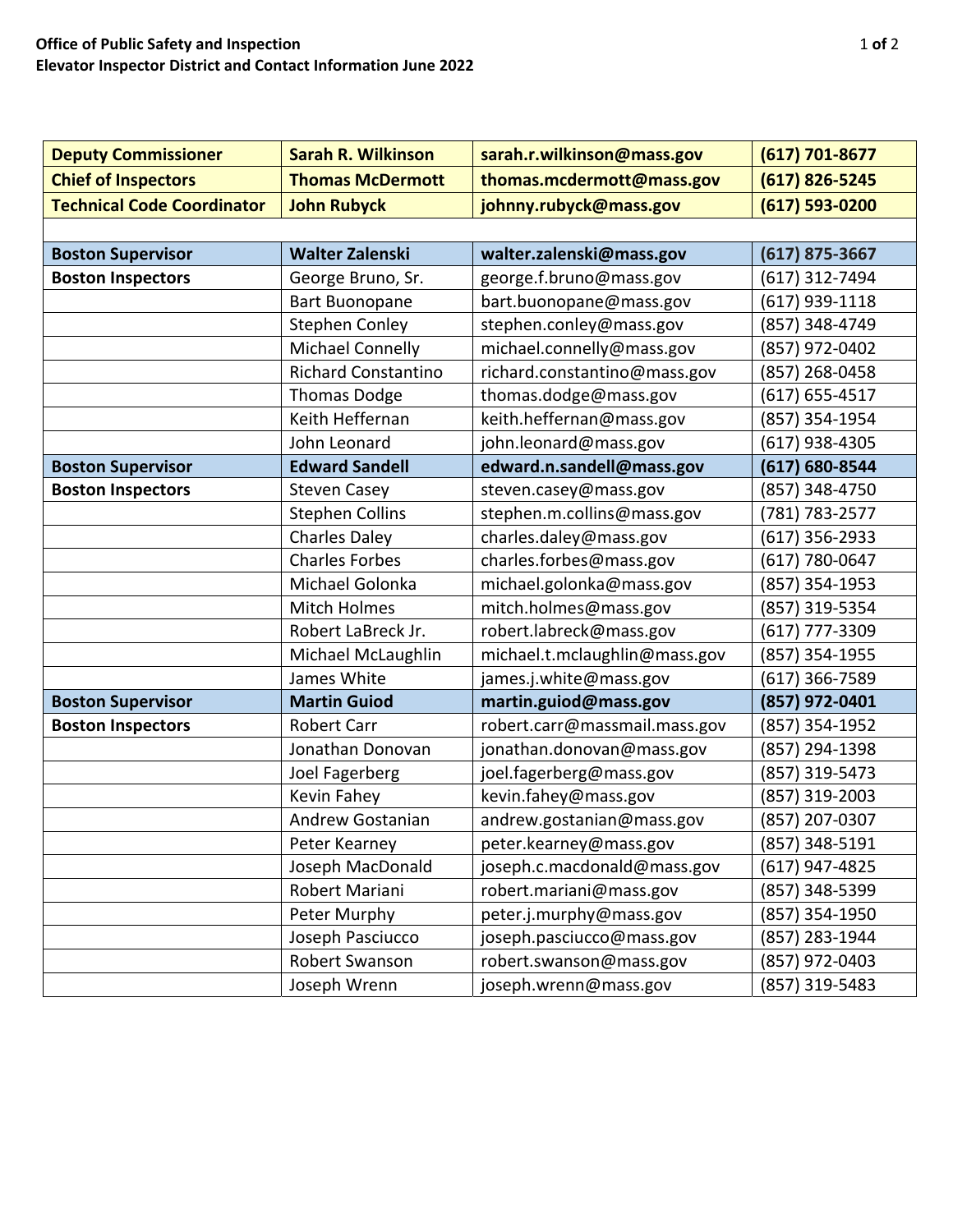| <b>Deputy Commissioner</b>        | <b>Sarah R. Wilkinson</b>  | sarah.r.wilkinson@mass.gov    | $(617) 701 - 8677$ |
|-----------------------------------|----------------------------|-------------------------------|--------------------|
| <b>Chief of Inspectors</b>        | <b>Thomas McDermott</b>    | thomas.mcdermott@mass.gov     | $(617)$ 826-5245   |
| <b>Technical Code Coordinator</b> | <b>John Rubyck</b>         | johnny.rubyck@mass.gov        | $(617) 593 - 0200$ |
|                                   |                            |                               |                    |
| <b>Boston Supervisor</b>          | <b>Walter Zalenski</b>     | walter.zalenski@mass.gov      | $(617)$ 875-3667   |
| <b>Boston Inspectors</b>          | George Bruno, Sr.          | george.f.bruno@mass.gov       | (617) 312-7494     |
|                                   | <b>Bart Buonopane</b>      | bart.buonopane@mass.gov       | (617) 939-1118     |
|                                   | <b>Stephen Conley</b>      | stephen.conley@mass.gov       | (857) 348-4749     |
|                                   | <b>Michael Connelly</b>    | michael.connelly@mass.gov     | (857) 972-0402     |
|                                   | <b>Richard Constantino</b> | richard.constantino@mass.gov  | (857) 268-0458     |
|                                   | <b>Thomas Dodge</b>        | thomas.dodge@mass.gov         | $(617) 655 - 4517$ |
|                                   | Keith Heffernan            | keith.heffernan@mass.gov      | (857) 354-1954     |
|                                   | John Leonard               | john.leonard@mass.gov         | (617) 938-4305     |
| <b>Boston Supervisor</b>          | <b>Edward Sandell</b>      | edward.n.sandell@mass.gov     | (617) 680-8544     |
| <b>Boston Inspectors</b>          | <b>Steven Casey</b>        | steven.casey@mass.gov         | (857) 348-4750     |
|                                   | <b>Stephen Collins</b>     | stephen.m.collins@mass.gov    | (781) 783-2577     |
|                                   | <b>Charles Daley</b>       | charles.daley@mass.gov        | $(617)$ 356-2933   |
|                                   | <b>Charles Forbes</b>      | charles.forbes@mass.gov       | (617) 780-0647     |
|                                   | Michael Golonka            | michael.golonka@mass.gov      | (857) 354-1953     |
|                                   | <b>Mitch Holmes</b>        | mitch.holmes@mass.gov         | (857) 319-5354     |
|                                   | Robert LaBreck Jr.         | robert.labreck@mass.gov       | (617) 777-3309     |
|                                   | Michael McLaughlin         | michael.t.mclaughlin@mass.gov | (857) 354-1955     |
|                                   | James White                | james.j.white@mass.gov        | (617) 366-7589     |
| <b>Boston Supervisor</b>          | <b>Martin Guiod</b>        | martin.guiod@mass.gov         | (857) 972-0401     |
| <b>Boston Inspectors</b>          | <b>Robert Carr</b>         | robert.carr@massmail.mass.gov | (857) 354-1952     |
|                                   | Jonathan Donovan           | jonathan.donovan@mass.gov     | (857) 294-1398     |
|                                   | Joel Fagerberg             | joel.fagerberg@mass.gov       | (857) 319-5473     |
|                                   | Kevin Fahey                | kevin.fahey@mass.gov          | (857) 319-2003     |
|                                   | <b>Andrew Gostanian</b>    | andrew.gostanian@mass.gov     | (857) 207-0307     |
|                                   | Peter Kearney              | peter.kearney@mass.gov        | (857) 348-5191     |
|                                   | Joseph MacDonald           | joseph.c.macdonald@mass.gov   | (617) 947-4825     |
|                                   | Robert Mariani             | robert.mariani@mass.gov       | (857) 348-5399     |
|                                   | Peter Murphy               | peter.j.murphy@mass.gov       | (857) 354-1950     |
|                                   | Joseph Pasciucco           | joseph.pasciucco@mass.gov     | (857) 283-1944     |
|                                   | Robert Swanson             | robert.swanson@mass.gov       | (857) 972-0403     |
|                                   | Joseph Wrenn               | joseph.wrenn@mass.gov         | (857) 319-5483     |